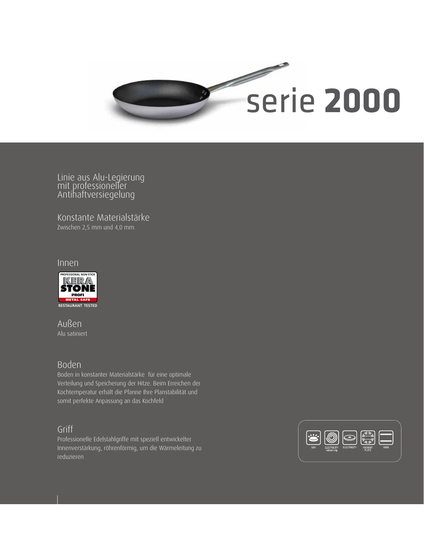

Linie aus Alu-Legierung mit professioneller Antihaftversiegelung

Konstante Materialstärke Zwischen 2,5 mm und 4,0 mm

#### Innen



Außen Alu satiniert

## Boden

Boden in konstanter Materialstärke für eine optimale Verteilung und Speicherung der Hitze. Beim Erreichen der Kochtemperatur erhält die Pfanne Ihre Planstabilität und somit perfekte Anpassung an das Kochfeld

# Griff

Professionelle Edelstahlgriffe mit speziell entwickelter Innenverstärkung, röhrenförmig, um die Wärmeleitung zu reduzieren

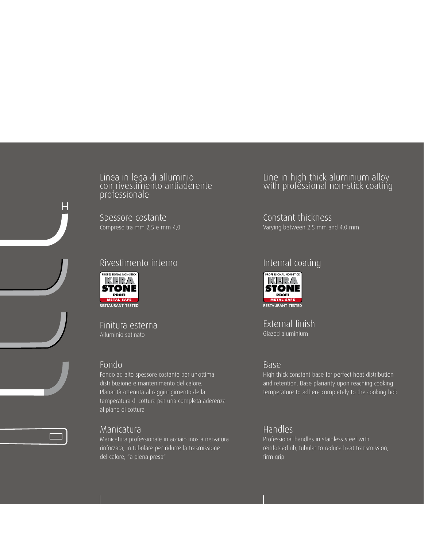Linea in lega di alluminio con rivestimento antiaderente professionale

Spessore costante Compreso tra mm 2,5 e mm 4,0

## Rivestimento interno



Finitura esterna Alluminio satinato

## Fondo

Fondo ad alto spessore costante per un'ottima distribuzione e mantenimento del calore. Planarità ottenuta al raggiungimento della temperatura di cottura per una completa aderenza al piano di cottura



#### Manicatura

Manicatura professionale in acciaio inox a nervatura rinforzata, in tubolare per ridurre la trasmissione del calore, "a piena presa"

## Line in high thick aluminium alloy with professional non-stick coating

Constant thickness Varying between 2.5 mm and 4.0 mm

## Internal coating



External finish Glazed aluminium

#### Base

High thick constant base for perfect heat distribution and retention. Base planarity upon reaching cooking temperature to adhere completely to the cooking hob

## Handles

Professional handles in stainless steel with reinforced rib, tubular to reduce heat transmission, firm grip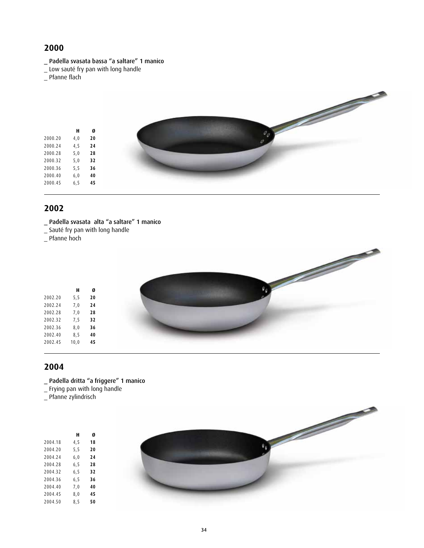#### \_ Padella svasata bassa "a saltare" 1 manico

\_ Low sauté fry pan with long handle

\_ Pfanne flach



#### **2002**

| Padella svasata alta "a saltare" 1 manico |  |  |  |  |
|-------------------------------------------|--|--|--|--|
|-------------------------------------------|--|--|--|--|

- \_ Sauté fry pan with long handle
- \_ Pfanne hoch



- \_ Padella dritta "a friggere" 1 manico
- \_ Frying pan with long handle
- \_ Pfanne zylindrisch

|         | н    | Ø  |
|---------|------|----|
| 2004.18 | 4,5  | 18 |
| 2004.20 | 5, 5 | 20 |
| 2004.24 | 6,0  | 24 |
| 2004.28 | 6, 5 | 28 |
| 2004.32 | 6, 5 | 32 |
| 2004.36 | 6, 5 | 36 |
| 2004.40 | 7,0  | 40 |
| 2004.45 | 8,0  | 45 |
| 2004.50 | 8,5  | 50 |

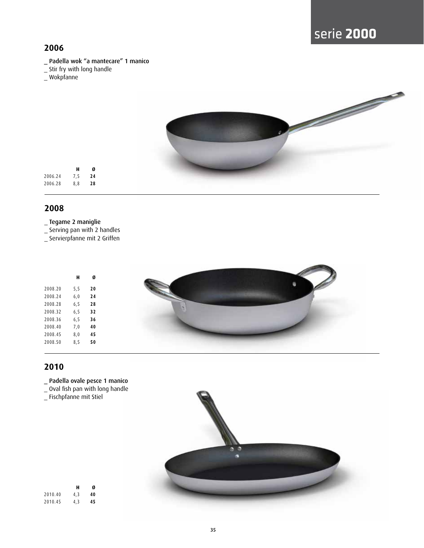- \_ Padella wok "a mantecare" 1 manico
- \_ Stir fry with long handle
- \_ Wokpfanne



## **2008**

#### \_ Tegame 2 maniglie

\_ Serving pan with 2 handles

\_ Servierpfanne mit 2 Griffen

|         | н    | Ø  |
|---------|------|----|
| 2008.20 | 5, 5 | 20 |
| 2008.24 | 6,0  | 24 |
| 2008.28 | 6, 5 | 28 |
| 2008.32 | 6, 5 | 32 |
| 2008.36 | 6, 5 | 36 |
| 2008.40 | 7,0  | 40 |
| 2008.45 | 8,0  | 45 |
| 2008.50 | 8,5  | 50 |
|         |      |    |



- \_ Padella ovale pesce 1 manico
- \_ Oval fish pan with long handle
- \_ Fischpfanne mit Stiel

|         | н   | Ø  |
|---------|-----|----|
| 2010.40 | 4.3 | 40 |
| 2010.45 | 4,3 | 45 |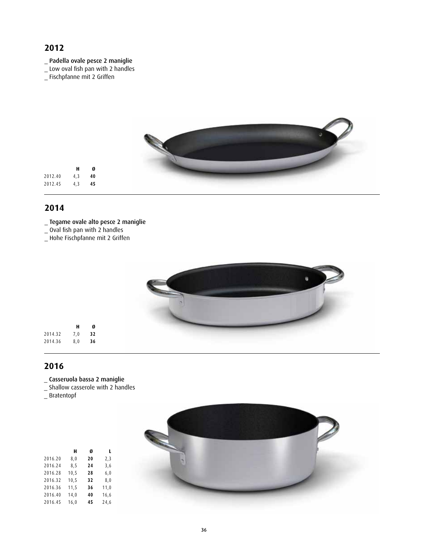- \_ Padella ovale pesce 2 maniglie
- \_ Low oval fish pan with 2 handles
- \_ Fischpfanne mit 2 Griffen



#### **2014**

#### \_ Tegame ovale alto pesce 2 maniglie

- \_ Oval fish pan with 2 handles
- \_ Hohe Fischpfanne mit 2 Griffen



- \_ Casseruola bassa 2 maniglie
- \_ Shallow casserole with 2 handles
- \_ Bratentopf

|         | н    | Ø  | L    |
|---------|------|----|------|
| 2016.20 | 8,0  | 20 | 2,3  |
| 2016.24 | 8,5  | 24 | 3,6  |
| 2016.28 | 10,5 | 28 | 6,0  |
| 2016.32 | 10,5 | 32 | 8,0  |
| 2016.36 | 11,5 | 36 | 11,0 |
| 2016.40 | 14,0 | 40 | 16,6 |
| 2016.45 | 16,0 | 45 | 24,6 |
|         |      |    |      |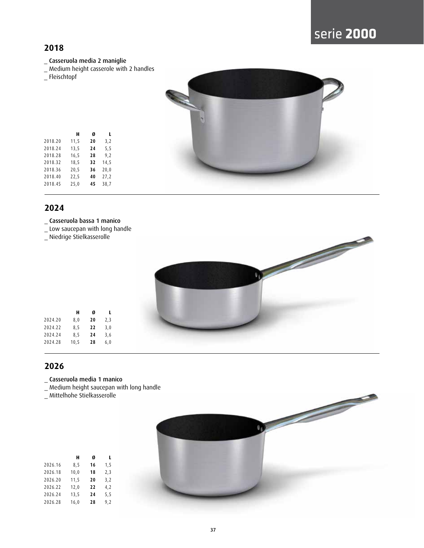# serie **2000**

# **2018**

- \_ Casseruola media 2 maniglie
- \_ Medium height casserole with 2 handles
- \_ Fleischtopf

|         | н    | Ø  | L    |  |
|---------|------|----|------|--|
| 2018.20 | 11,5 | 20 | 3,2  |  |
| 2018.24 | 13,5 | 24 | 5, 5 |  |
| 2018.28 | 16,5 | 28 | 9,2  |  |
| 2018.32 | 18,5 | 32 | 14,5 |  |
| 2018.36 | 20,5 | 36 | 20,0 |  |
| 2018.40 | 22,5 | 40 | 27,2 |  |
| 2018.45 | 25,0 | 45 | 38,7 |  |
|         |      |    |      |  |



## **2024**

- \_ Casseruola bassa 1 manico
- \_ Low saucepan with long handle

**H Ø L**

2024.20 8,0 **20** 2,3 2024.22 8,5 **22** 3,0 2024.24 8,5 **24** 3,6 2024.28 10,5 **28** 6,0

\_ Niedrige Stielkasserolle



- \_ Casseruola media 1 manico
- \_ Medium height saucepan with long handle
- \_ Mittelhohe Stielkasserolle

|         | н    | Ø  | L    |
|---------|------|----|------|
| 2026.16 | 8,5  | 16 | 1,5  |
| 2026.18 | 10,0 | 18 | 2,3  |
| 2026.20 | 11,5 | 20 | 3,2  |
| 2026.22 | 12,0 | 22 | 4,2  |
| 2026.24 | 13,5 | 24 | 5, 5 |
| 2026.28 | 16,0 | 28 | 9,2  |
|         |      |    |      |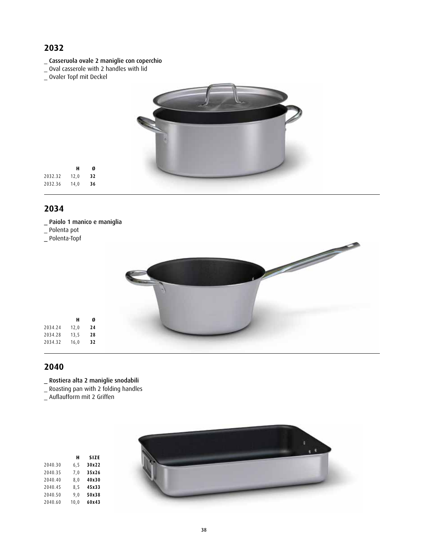- \_ Casseruola ovale 2 maniglie con coperchio
- \_ Oval casserole with 2 handles with lid
- \_ Ovaler Topf mit Deckel



#### **2034**

\_ Paiolo 1 manico e maniglia

**H Ø**

2032.32 12,0 **32** 2032.36 14,0 **36**

- \_ Polenta pot
- \_ Polenta-Topf



- \_ Rostiera alta 2 maniglie snodabili
- \_ Roasting pan with 2 folding handles
- \_ Auflaufform mit 2 Griffen

| <b>SIZE</b> | Н    |         |
|-------------|------|---------|
| 30x22       | 6, 5 | 2040.30 |
| 35x26       | 7.0  | 2040.35 |
| 40x30       | 8,0  | 2040.40 |
| 45x33       | 8,5  | 2040.45 |
| 50x38       | 9,0  | 2040.50 |
| 60x43       | 10.0 | 2040.60 |